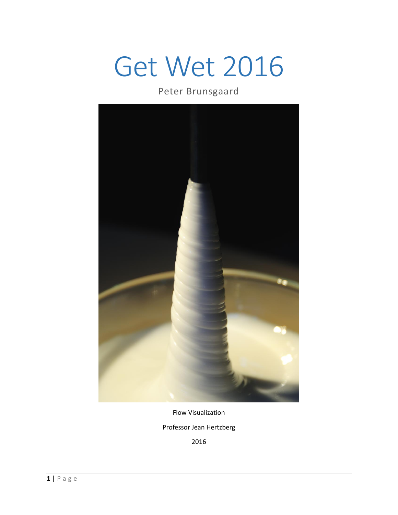# Get Wet 2016

## Peter Brunsgaard



Flow Visualization

Professor Jean Hertzberg

2016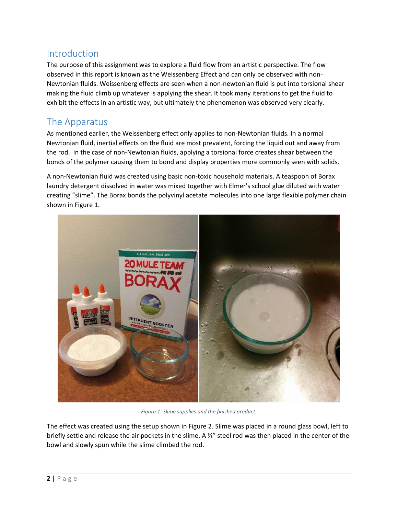### Introduction

The purpose of this assignment was to explore a fluid flow from an artistic perspective. The flow observed in this report is known as the Weissenberg Effect and can only be observed with non-Newtonian fluids. Weissenberg effects are seen when a non-newtonian fluid is put into torsional shear making the fluid climb up whatever is applying the shear. It took many iterations to get the fluid to exhibit the effects in an artistic way, but ultimately the phenomenon was observed very clearly.

## The Apparatus

As mentioned earlier, the Weissenberg effect only applies to non-Newtonian fluids. In a normal Newtonian fluid, inertial effects on the fluid are most prevalent, forcing the liquid out and away from the rod. In the case of non-Newtonian fluids, applying a torsional force creates shear between the bonds of the polymer causing them to bond and display properties more commonly seen with solids.

A non-Newtonian fluid was created using basic non-toxic household materials. A teaspoon of Borax laundry detergent dissolved in water was mixed together with Elmer's school glue diluted with water creating "slime". The Borax bonds the polyvinyl acetate molecules into one large flexible polymer chain shown in [Figure 1.](#page-1-0)



*Figure 1: Slime supplies and the finished product.*

<span id="page-1-0"></span>The effect was created using the setup shown in [Figure 2.](#page-2-0) Slime was placed in a round glass bowl, left to briefly settle and release the air pockets in the slime. A ⅜" steel rod was then placed in the center of the bowl and slowly spun while the slime climbed the rod.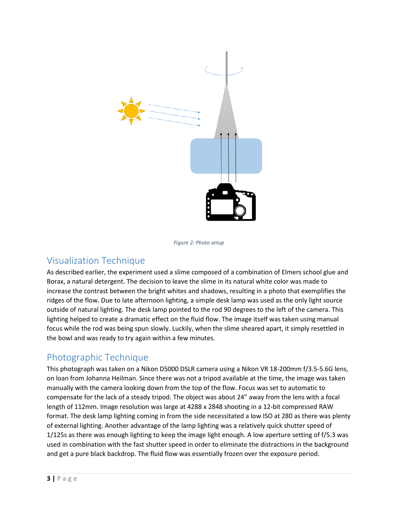

*Figure 2: Photo setup*

## <span id="page-2-0"></span>Visualization Technique

As described earlier, the experiment used a slime composed of a combination of Elmers school glue and Borax, a natural detergent. The decision to leave the slime in its natural white color was made to increase the contrast between the bright whites and shadows, resulting in a photo that exemplifies the ridges of the flow. Due to late afternoon lighting, a simple desk lamp was used as the only light source outside of natural lighting. The desk lamp pointed to the rod 90 degrees to the left of the camera. This lighting helped to create a dramatic effect on the fluid flow. The image itself was taken using manual focus while the rod was being spun slowly. Luckily, when the slime sheared apart, it simply resettled in the bowl and was ready to try again within a few minutes.

#### Photographic Technique

This photograph was taken on a Nikon D5000 DSLR camera using a Nikon VR 18-200mm f/3.5-5.6G lens, on loan from Johanna Heilman. Since there was not a tripod available at the time, the image was taken manually with the camera looking down from the top of the flow. Focus was set to automatic to compensate for the lack of a steady tripod. The object was about 24" away from the lens with a focal length of 112mm. Image resolution was large at 4288 x 2848 shooting in a 12-bit compressed RAW format. The desk lamp lighting coming in from the side necessitated a low ISO at 280 as there was plenty of external lighting. Another advantage of the lamp lighting was a relatively quick shutter speed of 1/125s as there was enough lighting to keep the image light enough. A low aperture setting of f/5.3 was used in combination with the fast shutter speed in order to eliminate the distractions in the background and get a pure black backdrop. The fluid flow was essentially frozen over the exposure period.